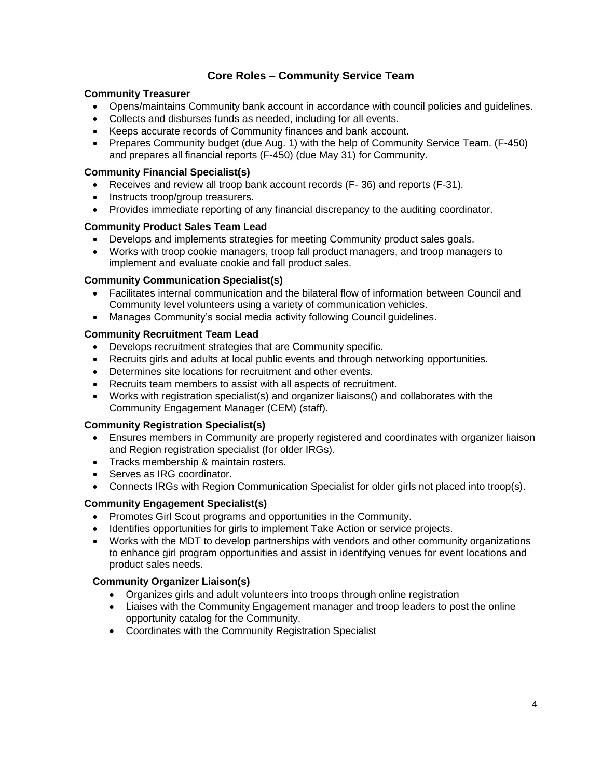# **Core Roles – Community Service Team**

### **Community Treasurer**

- Opens/maintains Community bank account in accordance with council policies and guidelines.
- Collects and disburses funds as needed, including for all events.
- Keeps accurate records of Community finances and bank account.
- Prepares Community budget (due Aug. 1) with the help of Community Service Team. (F-450) and prepares all financial reports (F-450) (due May 31) for Community.

#### **Community Financial Specialist(s)**

- Receives and review all troop bank account records (F- 36) and reports (F-31).
- Instructs troop/group treasurers.
- Provides immediate reporting of any financial discrepancy to the auditing coordinator.

### **Community Product Sales Team Lead**

- Develops and implements strategies for meeting Community product sales goals.
- Works with troop cookie managers, troop fall product managers, and troop managers to implement and evaluate cookie and fall product sales.

### **Community Communication Specialist(s)**

- Facilitates internal communication and the bilateral flow of information between Council and Community level volunteers using a variety of communication vehicles.
- Manages Community's social media activity following Council guidelines.

### **Community Recruitment Team Lead**

- Develops recruitment strategies that are Community specific.
- Recruits girls and adults at local public events and through networking opportunities.
- Determines site locations for recruitment and other events.
- Recruits team members to assist with all aspects of recruitment.
- Works with registration specialist(s) and organizer liaisons() and collaborates with the Community Engagement Manager (CEM) (staff).

## **Community Registration Specialist(s)**

- Ensures members in Community are properly registered and coordinates with organizer liaison and Region registration specialist (for older IRGs).
- Tracks membership & maintain rosters.
- Serves as IRG coordinator.
- Connects IRGs with Region Communication Specialist for older girls not placed into troop(s).

## **Community Engagement Specialist(s)**

- Promotes Girl Scout programs and opportunities in the Community.
- Identifies opportunities for girls to implement Take Action or service projects.
- Works with the MDT to develop partnerships with vendors and other community organizations to enhance girl program opportunities and assist in identifying venues for event locations and product sales needs.

## **Community Organizer Liaison(s)**

- Organizes girls and adult volunteers into troops through online registration
- Liaises with the Community Engagement manager and troop leaders to post the online opportunity catalog for the Community.
- Coordinates with the Community Registration Specialist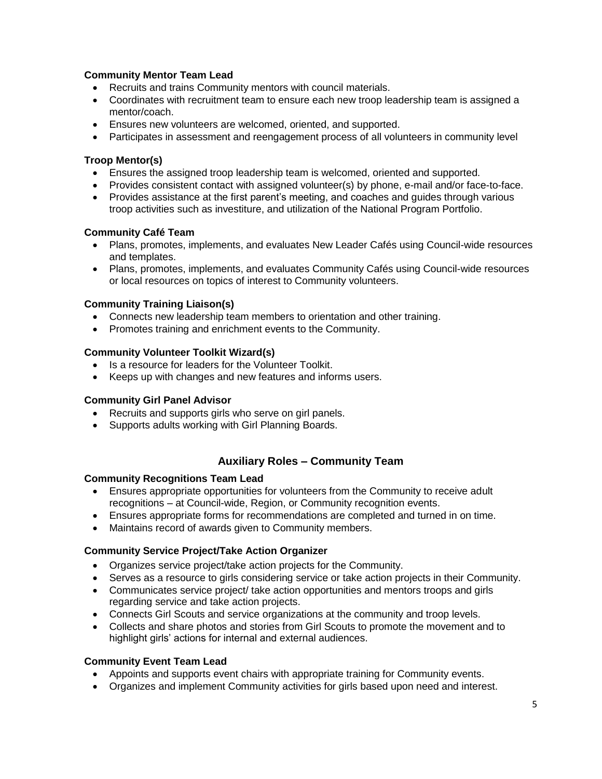## **Community Mentor Team Lead**

- Recruits and trains Community mentors with council materials.
- Coordinates with recruitment team to ensure each new troop leadership team is assigned a mentor/coach.
- Ensures new volunteers are welcomed, oriented, and supported.
- Participates in assessment and reengagement process of all volunteers in community level

# **Troop Mentor(s)**

- Ensures the assigned troop leadership team is welcomed, oriented and supported.
- Provides consistent contact with assigned volunteer(s) by phone, e-mail and/or face-to-face.
- Provides assistance at the first parent's meeting, and coaches and guides through various troop activities such as investiture, and utilization of the National Program Portfolio.

## **Community Café Team**

- Plans, promotes, implements, and evaluates New Leader Cafés using Council-wide resources and templates.
- Plans, promotes, implements, and evaluates Community Cafés using Council-wide resources or local resources on topics of interest to Community volunteers.

# **Community Training Liaison(s)**

- Connects new leadership team members to orientation and other training.
- Promotes training and enrichment events to the Community.

## **Community Volunteer Toolkit Wizard(s)**

- Is a resource for leaders for the Volunteer Toolkit.
- Keeps up with changes and new features and informs users.

## **Community Girl Panel Advisor**

- Recruits and supports girls who serve on girl panels.
- Supports adults working with Girl Planning Boards.

# **Auxiliary Roles – Community Team**

## **Community Recognitions Team Lead**

- Ensures appropriate opportunities for volunteers from the Community to receive adult recognitions – at Council-wide, Region, or Community recognition events.
- Ensures appropriate forms for recommendations are completed and turned in on time.
- Maintains record of awards given to Community members.

## **Community Service Project/Take Action Organizer**

- Organizes service project/take action projects for the Community.
- Serves as a resource to girls considering service or take action projects in their Community.
- Communicates service project/ take action opportunities and mentors troops and girls regarding service and take action projects.
- Connects Girl Scouts and service organizations at the community and troop levels.
- Collects and share photos and stories from Girl Scouts to promote the movement and to highlight girls' actions for internal and external audiences.

## **Community Event Team Lead**

- Appoints and supports event chairs with appropriate training for Community events.
- Organizes and implement Community activities for girls based upon need and interest.